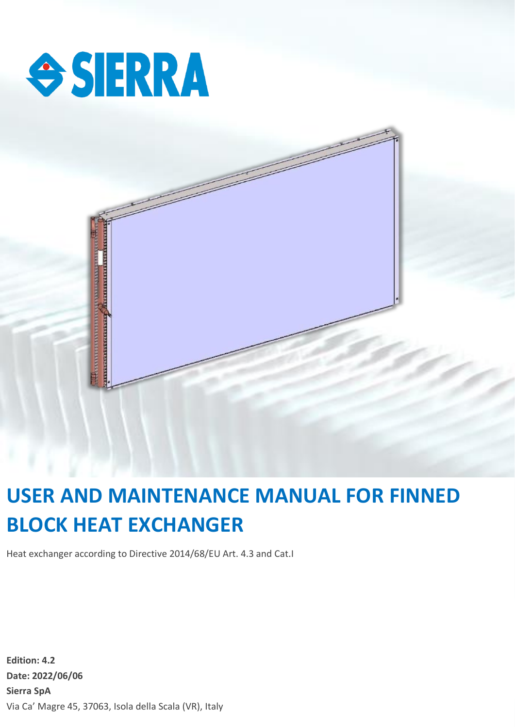



# **BLOCK HEAT EXCHANGER USER AND MAINTENANCE MANUAL FOR FINNED**

**Date: 2022/05/25 Sierra SpA** Heat exchanger according to Directive 2014/68/EU Art. 4.3 and Cat.I

**Edition: 4.2 Date: 2022/06/06 Sierra SpA** Via Ca' Magre 45, 37063, Isola della Scala (VR), Italy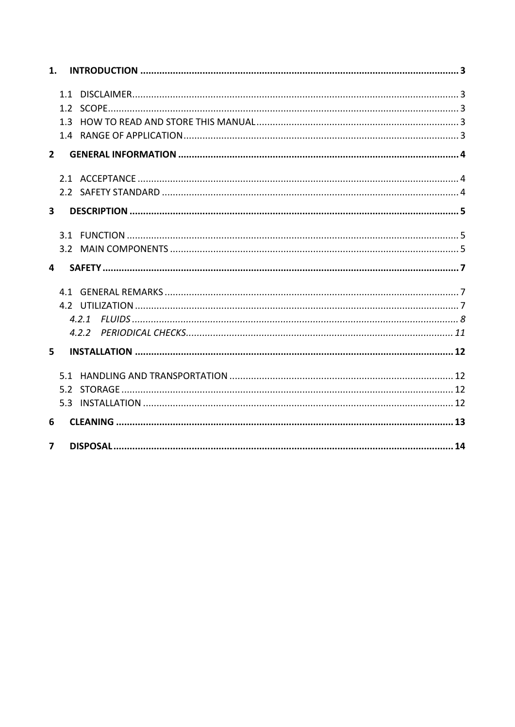| 1.                      |     |       |
|-------------------------|-----|-------|
|                         |     |       |
|                         | 1.1 |       |
|                         |     |       |
|                         | 1.3 |       |
|                         |     |       |
| $2^{\circ}$             |     |       |
|                         |     |       |
|                         |     |       |
| $\overline{\mathbf{3}}$ |     |       |
|                         |     |       |
|                         |     |       |
| $\overline{\mathbf{4}}$ |     |       |
|                         | 41  |       |
|                         |     |       |
|                         |     | 4.2.1 |
|                         |     |       |
| 5                       |     |       |
|                         | 51  |       |
|                         |     |       |
|                         |     |       |
| 6                       |     |       |
| $\overline{\mathbf{z}}$ |     |       |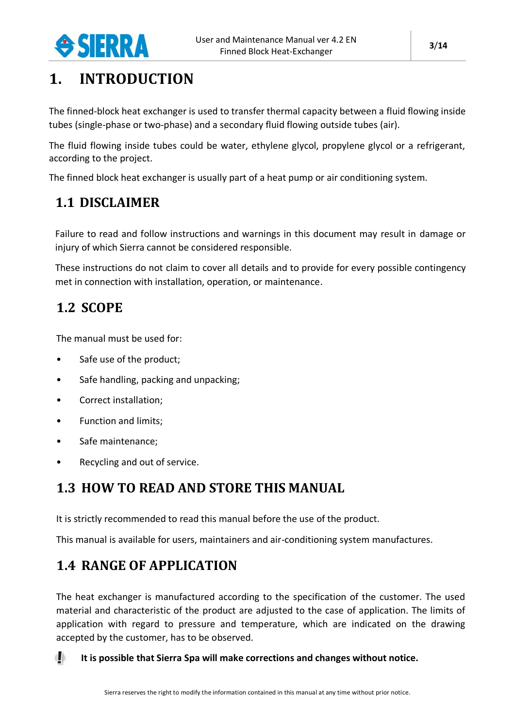

## <span id="page-2-0"></span>**1. INTRODUCTION**

The finned-block heat exchanger is used to transfer thermal capacity between a fluid flowing inside tubes (single-phase or two-phase) and a secondary fluid flowing outside tubes (air).

The fluid flowing inside tubes could be water, ethylene glycol, propylene glycol or a refrigerant, according to the project.

The finned block heat exchanger is usually part of a heat pump or air conditioning system.

### <span id="page-2-1"></span>**1.1 DISCLAIMER**

Failure to read and follow instructions and warnings in this document may result in damage or injury of which Sierra cannot be considered responsible.

These instructions do not claim to cover all details and to provide for every possible contingency met in connection with installation, operation, or maintenance.

### <span id="page-2-2"></span>**1.2 SCOPE**

The manual must be used for:

- Safe use of the product;
- Safe handling, packing and unpacking;
- Correct installation;
- Function and limits;
- Safe maintenance;
- Recycling and out of service.

### <span id="page-2-3"></span>**1.3 HOW TO READ AND STORE THIS MANUAL**

It is strictly recommended to read this manual before the use of the product.

This manual is available for users, maintainers and air-conditioning system manufactures.

### <span id="page-2-4"></span>**1.4 RANGE OF APPLICATION**

The heat exchanger is manufactured according to the specification of the customer. The used material and characteristic of the product are adjusted to the case of application. The limits of application with regard to pressure and temperature, which are indicated on the drawing accepted by the customer, has to be observed.

**It is possible that Sierra Spa will make corrections and changes without notice.**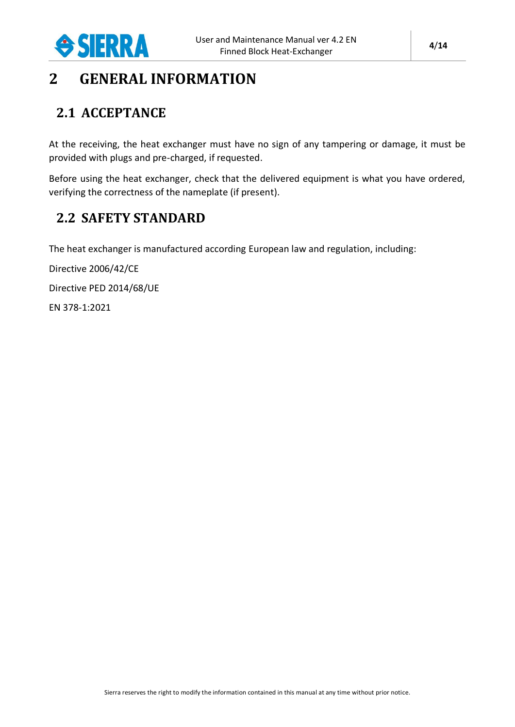

### <span id="page-3-0"></span>**2 GENERAL INFORMATION**

### <span id="page-3-1"></span>**2.1 ACCEPTANCE**

At the receiving, the heat exchanger must have no sign of any tampering or damage, it must be provided with plugs and pre-charged, if requested.

Before using the heat exchanger, check that the delivered equipment is what you have ordered, verifying the correctness of the nameplate (if present).

### <span id="page-3-2"></span>**2.2 SAFETY STANDARD**

The heat exchanger is manufactured according European law and regulation, including:

Directive 2006/42/CE

Directive PED 2014/68/UE

EN 378-1:2021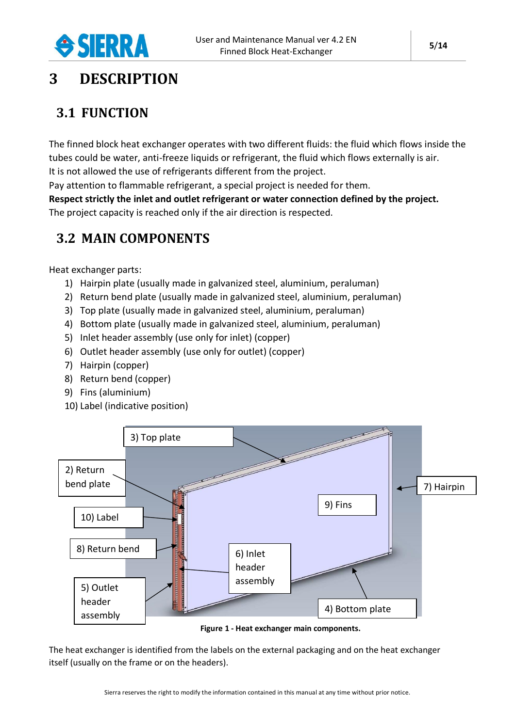

## <span id="page-4-0"></span>**3 DESCRIPTION**

### <span id="page-4-1"></span>**3.1 FUNCTION**

The finned block heat exchanger operates with two different fluids: the fluid which flows inside the tubes could be water, anti-freeze liquids or refrigerant, the fluid which flows externally is air. It is not allowed the use of refrigerants different from the project.

Pay attention to flammable refrigerant, a special project is needed for them.

**Respect strictly the inlet and outlet refrigerant or water connection defined by the project.** The project capacity is reached only if the air direction is respected.

### <span id="page-4-2"></span>**3.2 MAIN COMPONENTS**

Heat exchanger parts:

- 1) Hairpin plate (usually made in galvanized steel, aluminium, peraluman)
- 2) Return bend plate (usually made in galvanized steel, aluminium, peraluman)
- 3) Top plate (usually made in galvanized steel, aluminium, peraluman)
- 4) Bottom plate (usually made in galvanized steel, aluminium, peraluman)
- 5) Inlet header assembly (use only for inlet) (copper)
- 6) Outlet header assembly (use only for outlet) (copper)
- 7) Hairpin (copper)
- 8) Return bend (copper)
- 9) Fins (aluminium)
- 10) Label (indicative position)



**Figure 1 - Heat exchanger main components.**

<span id="page-4-3"></span>The heat exchanger is identified from the labels on the external packaging and on the heat exchanger itself (usually on the frame or on the headers).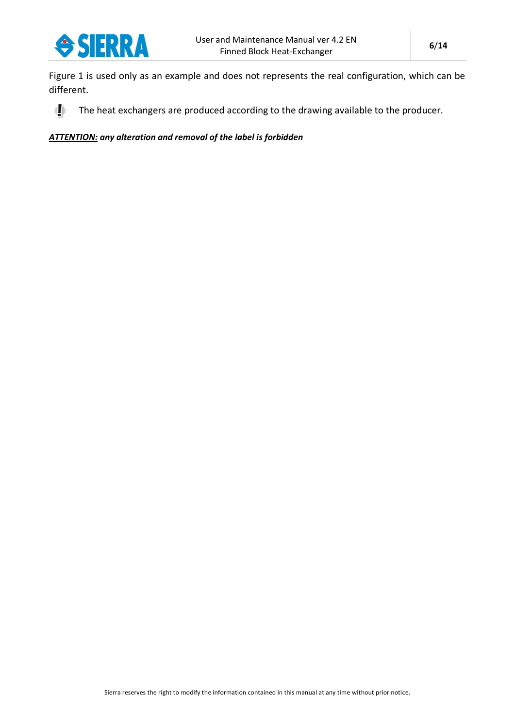

[Figure 1](#page-4-3) is used only as an example and does not represents the real configuration, which can be different.

The heat exchangers are produced according to the drawing available to the producer.  $\mathbf{d}$ 

*ATTENTION: any alteration and removal of the label is forbidden*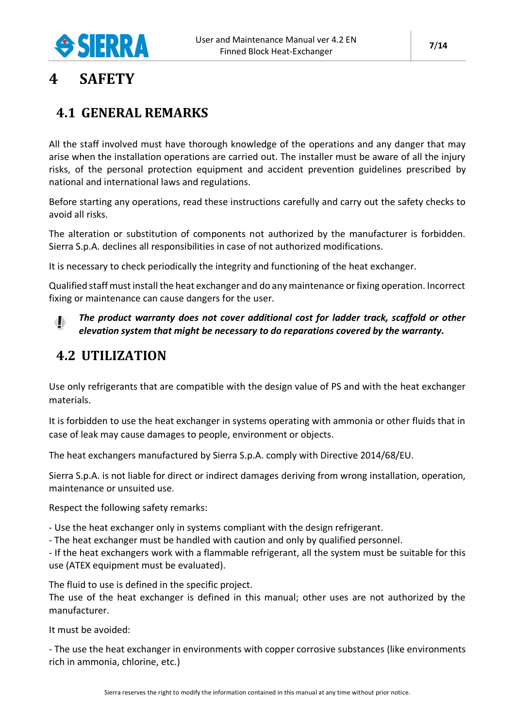

### <span id="page-6-0"></span>**4 SAFETY**

### <span id="page-6-1"></span>**4.1 GENERAL REMARKS**

All the staff involved must have thorough knowledge of the operations and any danger that may arise when the installation operations are carried out. The installer must be aware of all the injury risks, of the personal protection equipment and accident prevention guidelines prescribed by national and international laws and regulations.

Before starting any operations, read these instructions carefully and carry out the safety checks to avoid all risks.

The alteration or substitution of components not authorized by the manufacturer is forbidden. Sierra S.p.A. declines all responsibilities in case of not authorized modifications.

It is necessary to check periodically the integrity and functioning of the heat exchanger.

Qualified staff must install the heat exchanger and do any maintenance or fixing operation. Incorrect fixing or maintenance can cause dangers for the user.

#### *The product warranty does not cover additional cost for ladder track, scaffold or other*  db *elevation system that might be necessary to do reparations covered by the warranty.*

### <span id="page-6-2"></span>**4.2 UTILIZATION**

Use only refrigerants that are compatible with the design value of PS and with the heat exchanger materials.

It is forbidden to use the heat exchanger in systems operating with ammonia or other fluids that in case of leak may cause damages to people, environment or objects.

The heat exchangers manufactured by Sierra S.p.A. comply with Directive 2014/68/EU.

Sierra S.p.A. is not liable for direct or indirect damages deriving from wrong installation, operation, maintenance or unsuited use.

Respect the following safety remarks:

- Use the heat exchanger only in systems compliant with the design refrigerant.

- The heat exchanger must be handled with caution and only by qualified personnel.

- If the heat exchangers work with a flammable refrigerant, all the system must be suitable for this use (ATEX equipment must be evaluated).

The fluid to use is defined in the specific project.

The use of the heat exchanger is defined in this manual; other uses are not authorized by the manufacturer.

It must be avoided:

- The use the heat exchanger in environments with copper corrosive substances (like environments rich in ammonia, chlorine, etc.)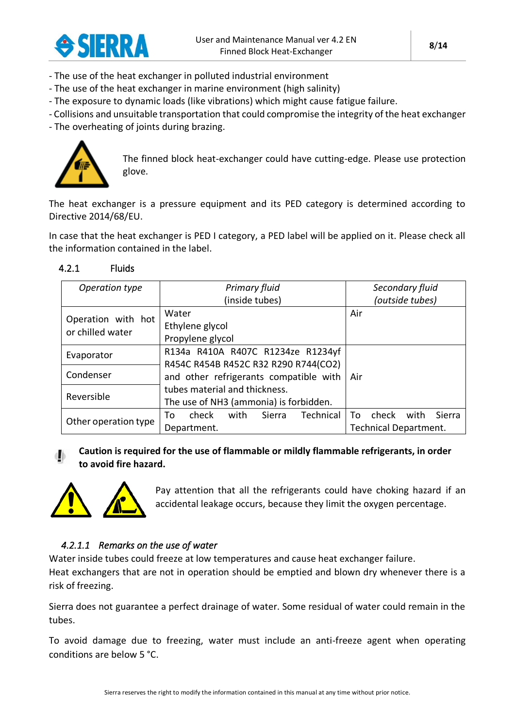

- The use of the heat exchanger in polluted industrial environment
- The use of the heat exchanger in marine environment (high salinity)
- The exposure to dynamic loads (like vibrations) which might cause fatigue failure.
- Collisions and unsuitable transportation that could compromise the integrity of the heat exchanger
- The overheating of joints during brazing.



The finned block heat-exchanger could have cutting-edge. Please use protection glove.

The heat exchanger is a pressure equipment and its PED category is determined according to Directive 2014/68/EU.

In case that the heat exchanger is PED I category, a PED label will be applied on it. Please check all the information contained in the label.

<span id="page-7-0"></span>

| 4.2.1 | <b>Fluids</b> |
|-------|---------------|
|-------|---------------|

| Operation type       | <b>Primary fluid</b>                       | Secondary fluid               |
|----------------------|--------------------------------------------|-------------------------------|
|                      | (inside tubes)                             | (outside tubes)               |
| Operation with hot   | Water                                      | Air                           |
| or chilled water     | Ethylene glycol                            |                               |
|                      | Propylene glycol                           |                               |
| Evaporator           | R134a R410A R407C R1234ze R1234yf          |                               |
|                      | R454C R454B R452C R32 R290 R744(CO2)       |                               |
| Condenser            | and other refrigerants compatible with     | Air                           |
|                      | tubes material and thickness.              |                               |
| Reversible           | The use of NH3 (ammonia) is forbidden.     |                               |
|                      | Technical<br>Sierra<br>check<br>with<br>To | check<br>with<br>Sierra<br>To |
| Other operation type | Department.                                | <b>Technical Department.</b>  |

#### **Caution is required for the use of flammable or mildly flammable refrigerants, in order to avoid fire hazard.**



Pay attention that all the refrigerants could have choking hazard if an accidental leakage occurs, because they limit the oxygen percentage.

#### *4.2.1.1 Remarks on the use of water*

Water inside tubes could freeze at low temperatures and cause heat exchanger failure. Heat exchangers that are not in operation should be emptied and blown dry whenever there is a risk of freezing.

Sierra does not guarantee a perfect drainage of water. Some residual of water could remain in the tubes.

To avoid damage due to freezing, water must include an anti-freeze agent when operating conditions are below 5 °C.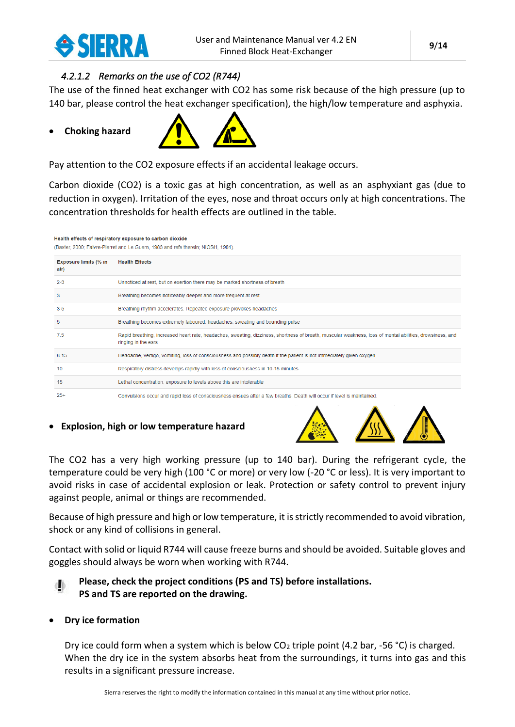

#### *4.2.1.2 Remarks on the use of CO2 (R744)*

The use of the finned heat exchanger with CO2 has some risk because of the high pressure (up to 140 bar, please control the heat exchanger specification), the high/low temperature and asphyxia.

#### • **Choking hazard**



Pay attention to the CO2 exposure effects if an accidental leakage occurs.

Carbon dioxide (CO2) is a toxic gas at high concentration, as well as an asphyxiant gas (due to reduction in oxygen). Irritation of the eyes, nose and throat occurs only at high concentrations. The concentration thresholds for health effects are outlined in the table.

Health effects of respiratory exposure to carbon dioxide

(Baxter, 2000; Faivre-Pierret and Le Guern, 1983 and refs therein; NIOSH, 1981).

| <b>Exposure limits (% in</b><br>air) | <b>Health Effects</b>                                                                                                                                                           |
|--------------------------------------|---------------------------------------------------------------------------------------------------------------------------------------------------------------------------------|
| $2 - 3$                              | Unnoticed at rest, but on exertion there may be marked shortness of breath                                                                                                      |
| 3                                    | Breathing becomes noticeably deeper and more frequent at rest                                                                                                                   |
| $3-5$                                | Breathing rhythm accelerates. Repeated exposure provokes headaches                                                                                                              |
| 5                                    | Breathing becomes extremely laboured, headaches, sweating and bounding pulse                                                                                                    |
| 7.5                                  | Rapid breathing, increased heart rate, headaches, sweating, dizziness, shortness of breath, muscular weakness, loss of mental abilities, drowsiness, and<br>ringing in the ears |
| $8 - 15$                             | Headache, vertigo, vomiting, loss of consciousness and possibly death if the patient is not immediately given oxygen                                                            |
| 10                                   | Respiratory distress develops rapidly with loss of consciousness in 10-15 minutes                                                                                               |
| 15                                   | Lethal concentration, exposure to levels above this are intolerable                                                                                                             |
| $25+$                                | Convulsions occur and rapid loss of consciousness ensues after a few breaths. Death will occur if level is maintained.                                                          |

#### • **Explosion, high or low temperature hazard**



The CO2 has a very high working pressure (up to 140 bar). During the refrigerant cycle, the temperature could be very high (100 °C or more) or very low (-20 °C or less). It is very important to avoid risks in case of accidental explosion or leak. Protection or safety control to prevent injury against people, animal or things are recommended.

Because of high pressure and high or low temperature, it is strictly recommended to avoid vibration, shock or any kind of collisions in general.

Contact with solid or liquid R744 will cause freeze burns and should be avoided. Suitable gloves and goggles should always be worn when working with R744.

#### **Please, check the project conditions (PS and TS) before installations. PS and TS are reported on the drawing.**

#### • **Dry ice formation**

Dry ice could form when a system which is below  $CO<sub>2</sub>$  triple point (4.2 bar, -56 °C) is charged. When the dry ice in the system absorbs heat from the surroundings, it turns into gas and this results in a significant pressure increase.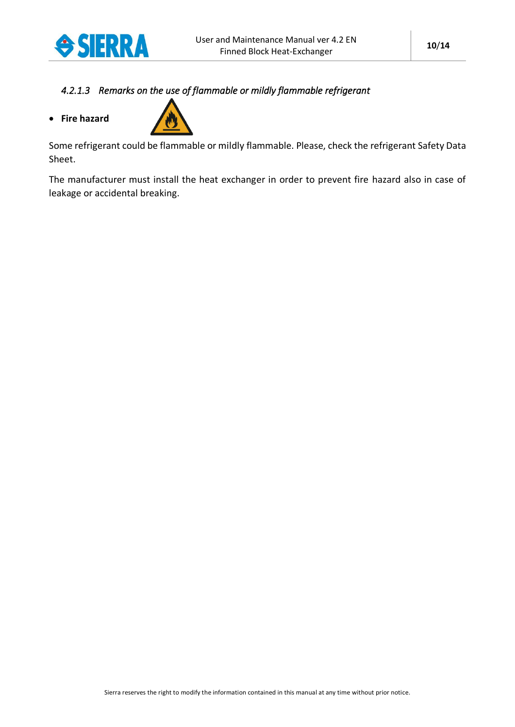

### *4.2.1.3 Remarks on the use of flammable or mildly flammable refrigerant*



Some refrigerant could be flammable or mildly flammable. Please, check the refrigerant Safety Data Sheet.

The manufacturer must install the heat exchanger in order to prevent fire hazard also in case of leakage or accidental breaking.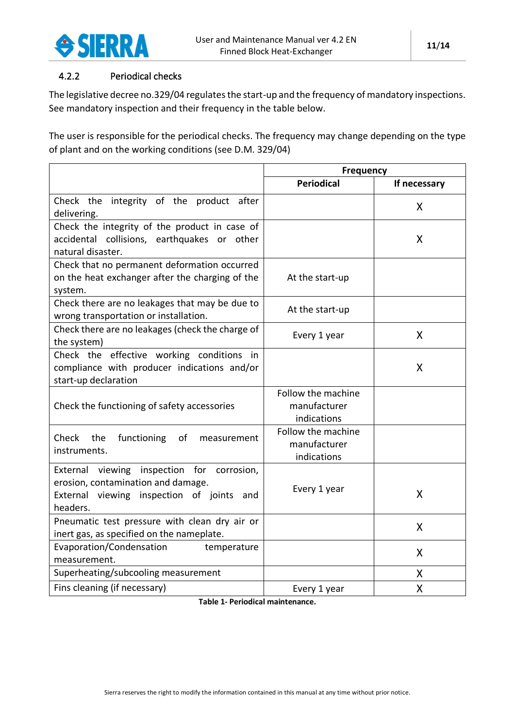

#### <span id="page-10-0"></span>4.2.2 Periodical checks

The legislative decree no.329/04 regulates the start-up and the frequency of mandatory inspections. See mandatory inspection and their frequency in the table below.

The user is responsible for the periodical checks. The frequency may change depending on the type of plant and on the working conditions (see D.M. 329/04)

|                                                                                                                                           | <b>Frequency</b>                                  |              |
|-------------------------------------------------------------------------------------------------------------------------------------------|---------------------------------------------------|--------------|
|                                                                                                                                           | <b>Periodical</b>                                 | If necessary |
| Check the integrity of the product after<br>delivering.                                                                                   |                                                   | X            |
| Check the integrity of the product in case of<br>accidental collisions, earthquakes or other<br>natural disaster.                         |                                                   | X            |
| Check that no permanent deformation occurred<br>on the heat exchanger after the charging of the<br>system.                                | At the start-up                                   |              |
| Check there are no leakages that may be due to<br>wrong transportation or installation.                                                   | At the start-up                                   |              |
| Check there are no leakages (check the charge of<br>the system)                                                                           | Every 1 year                                      | X            |
| Check the effective working conditions in<br>compliance with producer indications and/or<br>start-up declaration                          |                                                   | X            |
| Check the functioning of safety accessories                                                                                               | Follow the machine<br>manufacturer<br>indications |              |
| Check the<br>functioning<br>of<br>measurement<br>instruments.                                                                             | Follow the machine<br>manufacturer<br>indications |              |
| External viewing inspection for corrosion,<br>erosion, contamination and damage.<br>External viewing inspection of joints and<br>headers. | Every 1 year                                      | X            |
| Pneumatic test pressure with clean dry air or<br>inert gas, as specified on the nameplate.                                                |                                                   | X            |
| Evaporation/Condensation<br>temperature<br>measurement.                                                                                   |                                                   | X            |
| Superheating/subcooling measurement                                                                                                       |                                                   | X            |
| Fins cleaning (if necessary)                                                                                                              | Every 1 year                                      | X            |

**Table 1- Periodical maintenance.**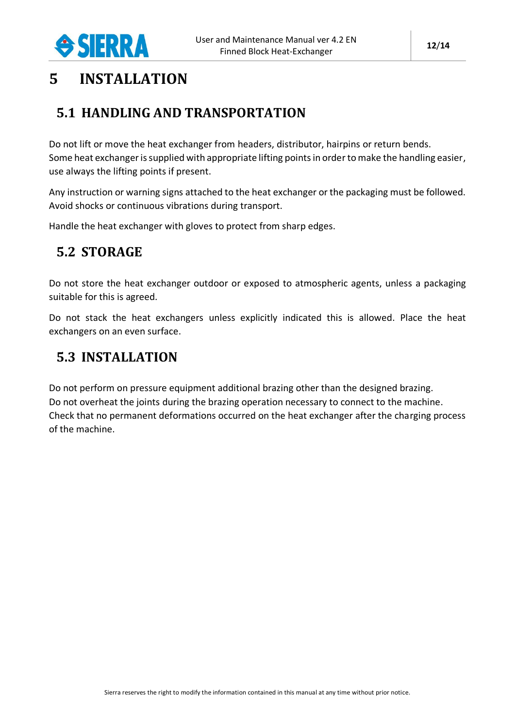

### <span id="page-11-0"></span>**5 INSTALLATION**

### <span id="page-11-1"></span>**5.1 HANDLING AND TRANSPORTATION**

Do not lift or move the heat exchanger from headers, distributor, hairpins or return bends. Some heat exchanger is supplied with appropriate lifting points in order to make the handling easier, use always the lifting points if present.

Any instruction or warning signs attached to the heat exchanger or the packaging must be followed. Avoid shocks or continuous vibrations during transport.

Handle the heat exchanger with gloves to protect from sharp edges.

### <span id="page-11-2"></span>**5.2 STORAGE**

Do not store the heat exchanger outdoor or exposed to atmospheric agents, unless a packaging suitable for this is agreed.

Do not stack the heat exchangers unless explicitly indicated this is allowed. Place the heat exchangers on an even surface.

### <span id="page-11-3"></span>**5.3 INSTALLATION**

Do not perform on pressure equipment additional brazing other than the designed brazing. Do not overheat the joints during the brazing operation necessary to connect to the machine. Check that no permanent deformations occurred on the heat exchanger after the charging process of the machine.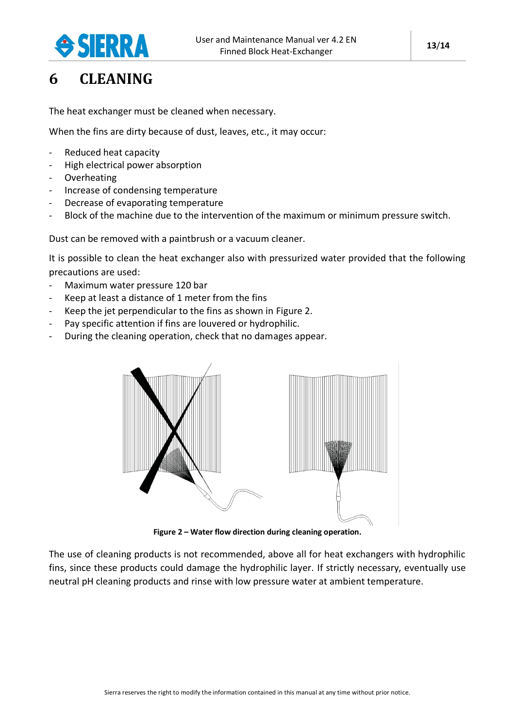

### <span id="page-12-0"></span>**6 CLEANING**

The heat exchanger must be cleaned when necessary.

When the fins are dirty because of dust, leaves, etc., it may occur:

- Reduced heat capacity
- High electrical power absorption
- Overheating
- Increase of condensing temperature
- Decrease of evaporating temperature
- Block of the machine due to the intervention of the maximum or minimum pressure switch.

Dust can be removed with a paintbrush or a vacuum cleaner.

It is possible to clean the heat exchanger also with pressurized water provided that the following precautions are used:

- Maximum water pressure 120 bar
- Keep at least a distance of 1 meter from the fins
- Keep the jet perpendicular to the fins as shown in [Figure 2.](#page-12-1)
- Pay specific attention if fins are louvered or hydrophilic.
- During the cleaning operation, check that no damages appear.



**Figure 2 – Water flow direction during cleaning operation.**

<span id="page-12-1"></span>The use of cleaning products is not recommended, above all for heat exchangers with hydrophilic fins, since these products could damage the hydrophilic layer. If strictly necessary, eventually use neutral pH cleaning products and rinse with low pressure water at ambient temperature.